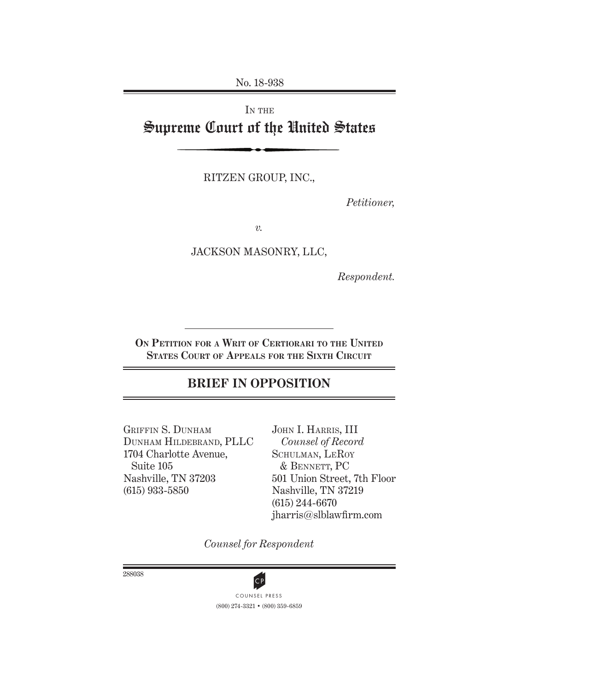No. 18-938

## IN THE Supreme Court of the United States

RITZEN GROUP, INC.,

*Petitioner,*

*v.*

JACKSON MASONRY, LLC,

*Respondent.*

**On Petition for a Writ of Certiorari to the United States Court of Appeals for the Sixth Circuit**

## **BRIEF IN OPPOSITION**

GRIFFIN S. DUNHAM Dunham Hildebrand, Pllc 1704 Charlotte Avenue, Suite 105 Nashville, TN 37203 (615) 933-5850

John I. Harris, III *Counsel of Record* SCHULMAN, LEROY & Bennett, Pc 501 Union Street, 7th Floor Nashville, TN 37219 (615) 244-6670 jharris@slblawfirm.com

*Counsel for Respondent*

288038



(800) 274-3321 • (800) 359-6859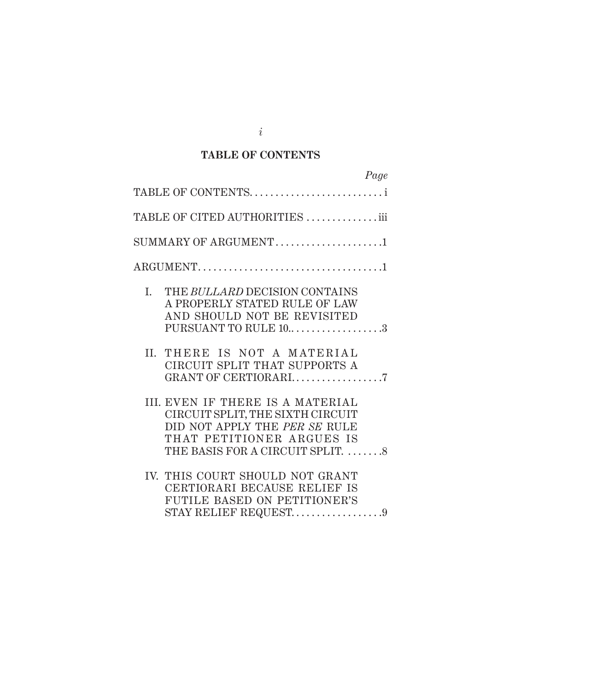## **TaBLE OF CONTENTS**

| Page                                                                                                                                                                   |
|------------------------------------------------------------------------------------------------------------------------------------------------------------------------|
| TABLE OF CONTENTS                                                                                                                                                      |
| TABLE OF CITED AUTHORITIES iii                                                                                                                                         |
| SUMMARY OF ARGUMENT1                                                                                                                                                   |
| $\text{ARGUMENT.} \dots \dots \dots \dots \dots \dots \dots \dots \dots \dots \dots \dots \dots \dots$                                                                 |
| L.<br>THE BULLARD DECISION CONTAINS<br>A PROPERLY STATED RULE OF LAW<br>AND SHOULD NOT BE REVISITED<br>PURSUANT TO RULE 103                                            |
| THERE IS NOT A MATERIAL<br>II.<br>CIRCUIT SPLIT THAT SUPPORTS A<br>GRANT OF CERTIORARI7                                                                                |
| III. EVEN IF THERE IS A MATERIAL<br>CIRCUIT SPLIT, THE SIXTH CIRCUIT<br>DID NOT APPLY THE PER SE RULE<br>THAT PETITIONER ARGUES IS<br>THE BASIS FOR A CIRCUIT SPLIT. 8 |
| IV. THIS COURT SHOULD NOT GRANT<br>CERTIORARI BECAUSE RELIEF IS<br><b>FUTILE BASED ON PETITIONER'S</b><br>STAY RELIEF REQUEST9                                         |

*i*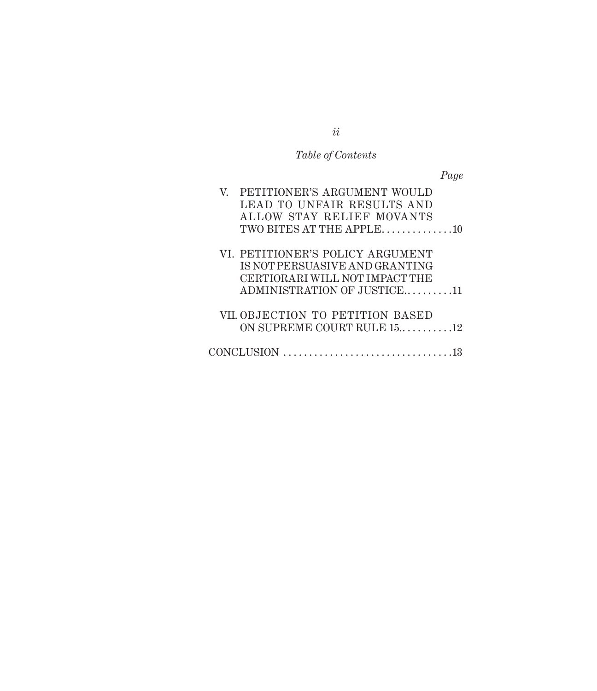## *Table of Contents*

*Page*

| V. PETITIONER'S ARGUMENT WOULD<br>LEAD TO UNFAIR RESULTS AND                   |  |
|--------------------------------------------------------------------------------|--|
| ALLOW STAY RELIEF MOVANTS                                                      |  |
| TWO BITES AT THE APPLE10                                                       |  |
| VI. PETITIONER'S POLICY ARGUMENT                                               |  |
| IS NOT PERSUASIVE AND GRANTING<br>CERTIORARI WILL NOT IMPACT THE               |  |
| ADMINISTRATION OF JUSTICE11                                                    |  |
| VII. OBJECTION TO PETITION BASED                                               |  |
| ON SUPREME COURT RULE 1512                                                     |  |
| $CONCLUSION \dots \dots \dots \dots \dots \dots \dots \dots \dots \dots \dots$ |  |
|                                                                                |  |

*ii*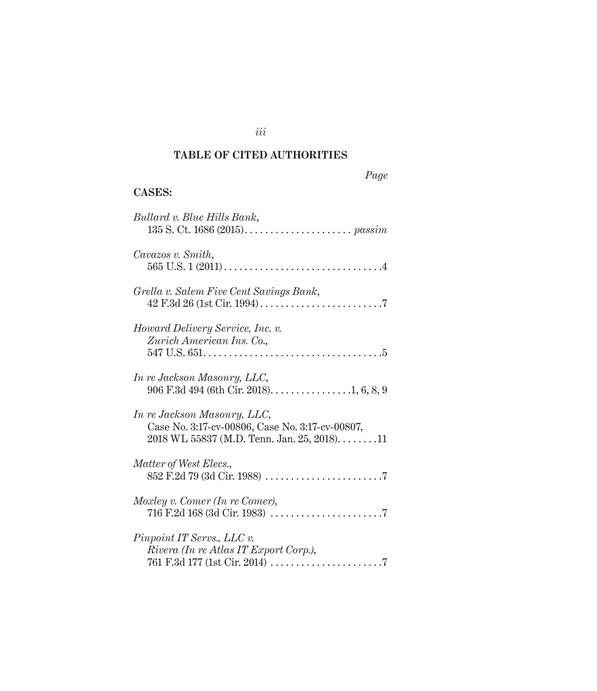## **TaBLE OF CITED auThORITIES**

*iii*

## *Page*

## **Cases :**

| Bullard v. Blue Hills Bank,                                                                                                    |
|--------------------------------------------------------------------------------------------------------------------------------|
| Cavazos v. Smith,                                                                                                              |
| Grella v. Salem Five Cent Savings Bank,                                                                                        |
| Howard Delivery Service, Inc. v.<br>Zurich American Ins. Co.,                                                                  |
| In re Jackson Masonry, LLC,<br>906 F.3d 494 (6th Cir. 2018). $\dots \dots \dots \dots \dots 1, 6, 8, 9$                        |
| In re Jackson Masonry, LLC,<br>Case No. 3:17-cv-00806, Case No. 3:17-cv-00807,<br>$2018$ WL 55837 (M.D. Tenn. Jan. 25, 2018)11 |
| Matter of West Elecs.,                                                                                                         |
| Moxley v. Comer (In re Comer),                                                                                                 |
| Pinpoint IT Servs., LLC v.<br>Rivera (In re Atlas IT Export Corp.),                                                            |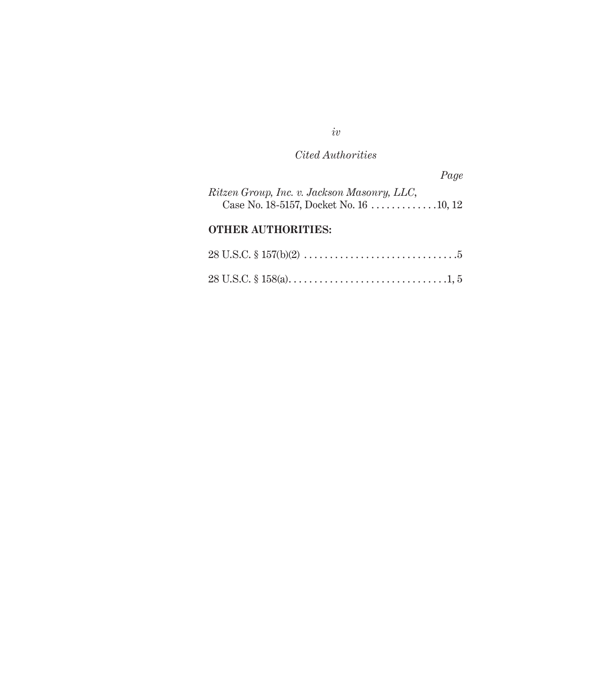## *Cited Authorities*

|                                             | Page |
|---------------------------------------------|------|
| Ritzen Group, Inc. v. Jackson Masonry, LLC, |      |

## **Other Authorities :**

|  | $28 \text{ U.S.C.} \S 157(b)(2) \ldots \ldots \ldots \ldots \ldots \ldots \ldots \ldots \ldots \ldots \ldots 5$ |
|--|-----------------------------------------------------------------------------------------------------------------|
|  |                                                                                                                 |

*iv*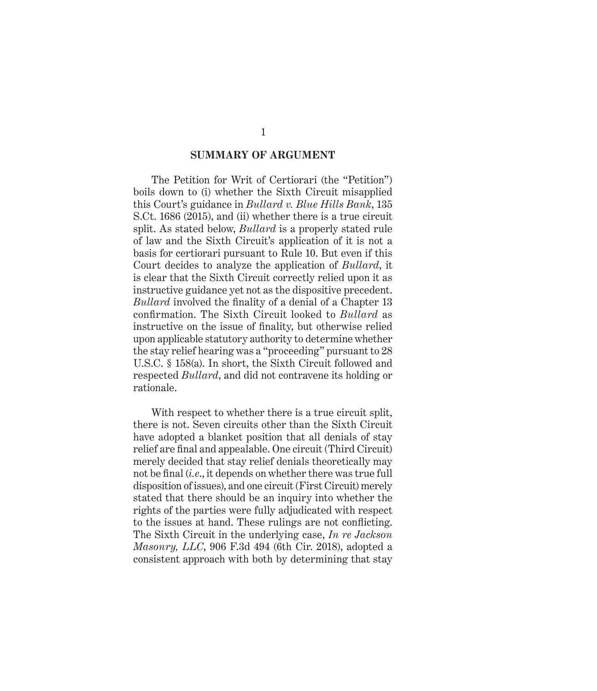### **Summary of argument**

The Petition for Writ of Certiorari (the "Petition") boils down to (i) whether the Sixth Circuit misapplied this Court's guidance in *Bullard v. Blue Hills Bank*, 135 S.Ct. 1686 (2015), and (ii) whether there is a true circuit split. As stated below, *Bullard* is a properly stated rule of law and the Sixth Circuit's application of it is not a basis for certiorari pursuant to Rule 10. But even if this Court decides to analyze the application of *Bullard*, it is clear that the Sixth Circuit correctly relied upon it as instructive guidance yet not as the dispositive precedent. *Bullard* involved the finality of a denial of a Chapter 13 confirmation. The Sixth Circuit looked to *Bullard* as instructive on the issue of finality, but otherwise relied upon applicable statutory authority to determine whether the stay relief hearing was a "proceeding" pursuant to 28 U.S.C. § 158(a). In short, the Sixth Circuit followed and respected *Bullard*, and did not contravene its holding or rationale.

With respect to whether there is a true circuit split, there is not. Seven circuits other than the Sixth Circuit have adopted a blanket position that all denials of stay relief are final and appealable. One circuit (Third Circuit) merely decided that stay relief denials theoretically may not be final (*i.e*., it depends on whether there was true full disposition of issues), and one circuit (First Circuit) merely stated that there should be an inquiry into whether the rights of the parties were fully adjudicated with respect to the issues at hand. These rulings are not conflicting. The Sixth Circuit in the underlying case, *In re Jackson Masonry, LLC*, 906 F.3d 494 (6th Cir. 2018), adopted a consistent approach with both by determining that stay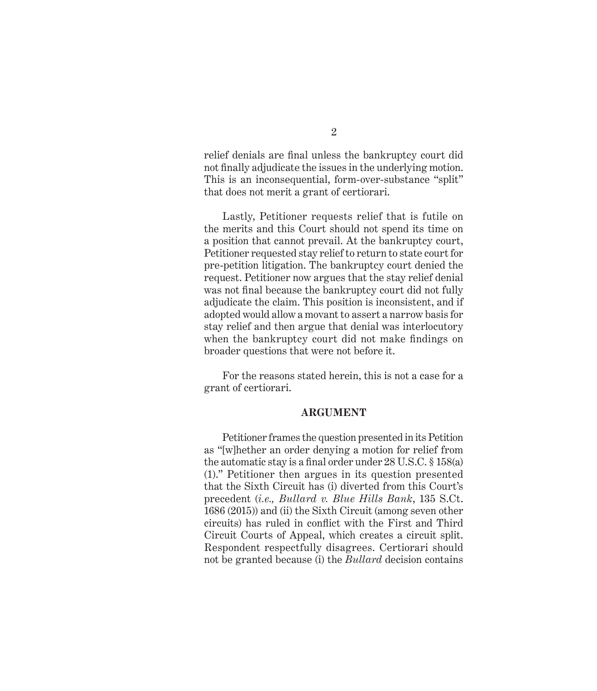relief denials are final unless the bankruptcy court did not finally adjudicate the issues in the underlying motion. This is an inconsequential, form-over-substance "split" that does not merit a grant of certiorari.

Lastly, Petitioner requests relief that is futile on the merits and this Court should not spend its time on a position that cannot prevail. At the bankruptcy court, Petitioner requested stay relief to return to state court for pre-petition litigation. The bankruptcy court denied the request. Petitioner now argues that the stay relief denial was not final because the bankruptcy court did not fully adjudicate the claim. This position is inconsistent, and if adopted would allow a movant to assert a narrow basis for stay relief and then argue that denial was interlocutory when the bankruptcy court did not make findings on broader questions that were not before it.

For the reasons stated herein, this is not a case for a grant of certiorari.

#### **ARGUM ENT**

Petitioner frames the question presented in its Petition as "[w]hether an order denying a motion for relief from the automatic stay is a final order under 28 U.S.C. § 158(a) (1)." Petitioner then argues in its question presented that the Sixth Circuit has (i) diverted from this Court's precedent (*i.e., Bullard v. Blue Hills Bank*, 135 S.Ct. 1686 (2015)) and (ii) the Sixth Circuit (among seven other circuits) has ruled in conflict with the First and Third Circuit Courts of Appeal, which creates a circuit split. Respondent respectfully disagrees. Certiorari should not be granted because (i) the *Bullard* decision contains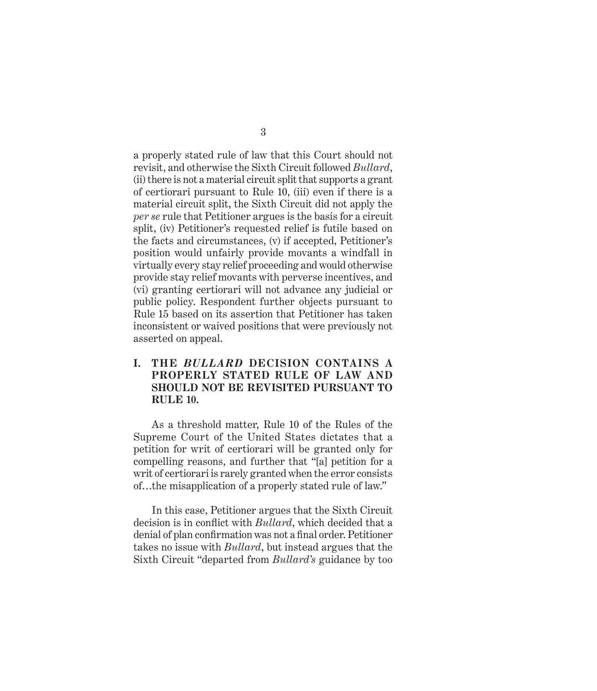a properly stated rule of law that this Court should not revisit, and otherwise the Sixth Circuit followed *Bullard*, (ii) there is not a material circuit split that supports a grant of certiorari pursuant to Rule 10, (iii) even if there is a material circuit split, the Sixth Circuit did not apply the *per se* rule that Petitioner argues is the basis for a circuit split, (iv) Petitioner's requested relief is futile based on the facts and circumstances, (v) if accepted, Petitioner's position would unfairly provide movants a windfall in virtually every stay relief proceeding and would otherwise provide stay relief movants with perverse incentives, and (vi) granting certiorari will not advance any judicial or public policy. Respondent further objects pursuant to Rule 15 based on its assertion that Petitioner has taken inconsistent or waived positions that were previously not asserted on appeal.

## **I. THE** *BULLARD* **DECISION CONTAINS A PROPERLY STATED RULE OF LAW AND SHOULD NOT BE REVISITED PURSUANT TO RULE 10.**

As a threshold matter, Rule 10 of the Rules of the Supreme Court of the United States dictates that a petition for writ of certiorari will be granted only for compelling reasons, and further that "[a] petition for a writ of certiorari is rarely granted when the error consists of…the misapplication of a properly stated rule of law."

In this case, Petitioner argues that the Sixth Circuit decision is in conflict with *Bullard*, which decided that a denial of plan confirmation was not a final order. Petitioner takes no issue with *Bullard*, but instead argues that the Sixth Circuit "departed from *Bullard's* guidance by too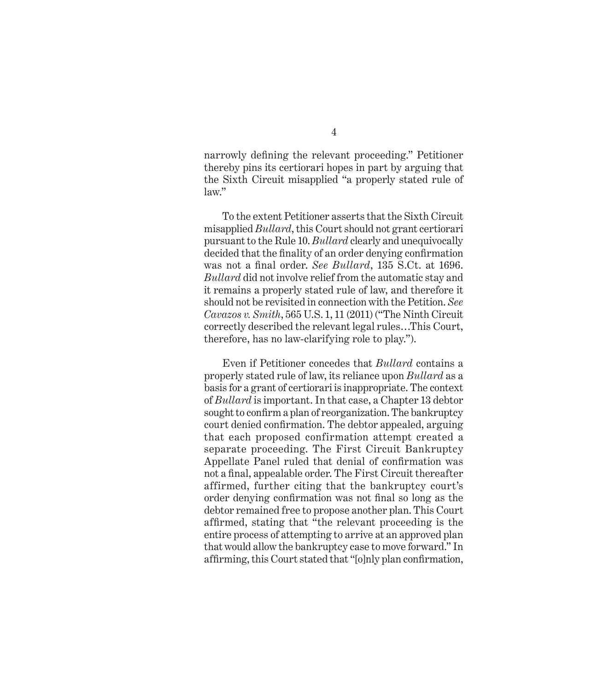narrowly defining the relevant proceeding." Petitioner thereby pins its certiorari hopes in part by arguing that the Sixth Circuit misapplied "a properly stated rule of law."

To the extent Petitioner asserts that the Sixth Circuit misapplied *Bullard*, this Court should not grant certiorari pursuant to the Rule 10. *Bullard* clearly and unequivocally decided that the finality of an order denying confirmation was not a final order. *See Bullard*, 135 S.Ct. at 1696. *Bullard* did not involve relief from the automatic stay and it remains a properly stated rule of law, and therefore it should not be revisited in connection with the Petition. *See Cavazos v. Smith*, 565 U.S. 1, 11 (2011) ("The Ninth Circuit correctly described the relevant legal rules…This Court, therefore, has no law-clarifying role to play.").

Even if Petitioner concedes that *Bullard* contains a properly stated rule of law, its reliance upon *Bullard* as a basis for a grant of certiorari is inappropriate. The context of *Bullard* is important. In that case, a Chapter 13 debtor sought to confirm a plan of reorganization. The bankruptcy court denied confirmation. The debtor appealed, arguing that each proposed confirmation attempt created a separate proceeding. The First Circuit Bankruptcy Appellate Panel ruled that denial of confirmation was not a final, appealable order. The First Circuit thereafter affirmed, further citing that the bankruptcy court's order denying confirmation was not final so long as the debtor remained free to propose another plan. This Court affirmed, stating that "the relevant proceeding is the entire process of attempting to arrive at an approved plan that would allow the bankruptcy case to move forward." In affirming, this Court stated that "[o]nly plan confirmation,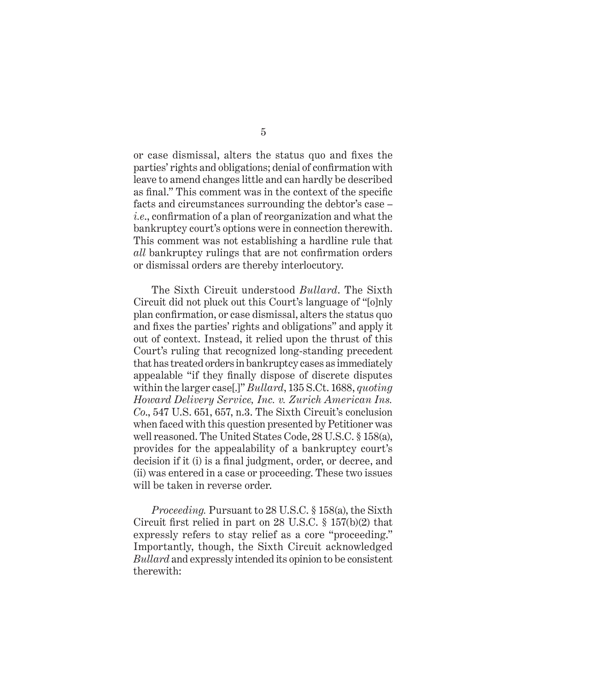or case dismissal, alters the status quo and fixes the parties' rights and obligations; denial of confirmation with leave to amend changes little and can hardly be described as final." This comment was in the context of the specific facts and circumstances surrounding the debtor's case – *i.e*., confirmation of a plan of reorganization and what the bankruptcy court's options were in connection therewith. This comment was not establishing a hardline rule that *all* bankruptcy rulings that are not confirmation orders or dismissal orders are thereby interlocutory.

The Sixth Circuit understood *Bullard*. The Sixth Circuit did not pluck out this Court's language of "[o]nly plan confirmation, or case dismissal, alters the status quo and fixes the parties' rights and obligations" and apply it out of context. Instead, it relied upon the thrust of this Court's ruling that recognized long-standing precedent that has treated orders in bankruptcy cases as immediately appealable "if they finally dispose of discrete disputes within the larger case[.]" *Bullard*, 135 S.Ct. 1688, *quoting Howard Delivery Service, Inc. v. Zurich American Ins. Co*., 547 U.S. 651, 657, n.3. The Sixth Circuit's conclusion when faced with this question presented by Petitioner was well reasoned. The United States Code, 28 U.S.C. § 158(a), provides for the appealability of a bankruptcy court's decision if it (i) is a final judgment, order, or decree, and (ii) was entered in a case or proceeding. These two issues will be taken in reverse order.

*Proceeding.* Pursuant to 28 U.S.C. § 158(a), the Sixth Circuit first relied in part on 28 U.S.C. § 157(b)(2) that expressly refers to stay relief as a core "proceeding." Importantly, though, the Sixth Circuit acknowledged *Bullard* and expressly intended its opinion to be consistent therewith: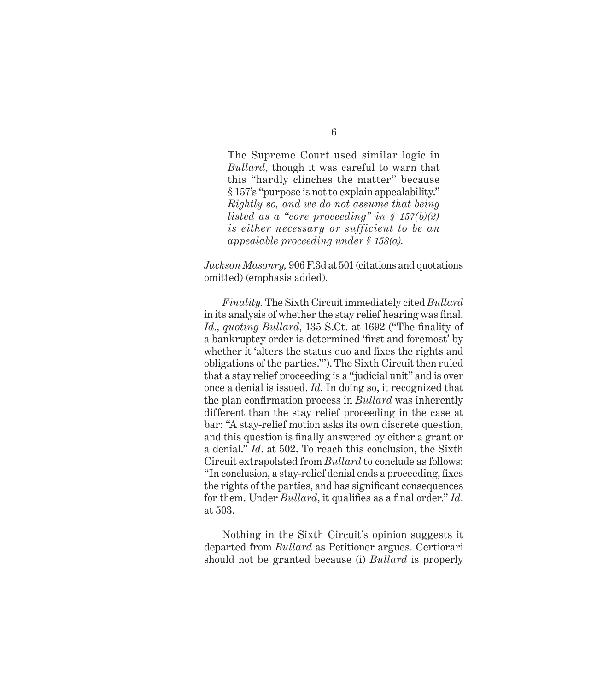The Supreme Court used similar logic in *Bullard*, though it was careful to warn that this "hardly clinches the matter" because § 157's "purpose is not to explain appealability." *Rightly so, and we do not assume that being listed as a "core proceeding" in § 157(b)(2) is either necessary or sufficient to be an appealable proceeding under § 158(a).*

*Jackson Masonry,* 906 F.3d at 501 (citations and quotations omitted) (emphasis added).

*Finality.* The Sixth Circuit immediately cited *Bullard* in its analysis of whether the stay relief hearing was final. *Id*., *quoting Bullard*, 135 S.Ct. at 1692 ("The finality of a bankruptcy order is determined 'first and foremost' by whether it 'alters the status quo and fixes the rights and obligations of the parties.'"). The Sixth Circuit then ruled that a stay relief proceeding is a "judicial unit" and is over once a denial is issued. *Id*. In doing so, it recognized that the plan confirmation process in *Bullard* was inherently different than the stay relief proceeding in the case at bar: "A stay-relief motion asks its own discrete question, and this question is finally answered by either a grant or a denial." *Id*. at 502. To reach this conclusion, the Sixth Circuit extrapolated from *Bullard* to conclude as follows: "In conclusion, a stay-relief denial ends a proceeding, fixes the rights of the parties, and has significant consequences for them. Under *Bullard*, it qualifies as a final order." *Id*. at 503.

Nothing in the Sixth Circuit's opinion suggests it departed from *Bullard* as Petitioner argues. Certiorari should not be granted because (i) *Bullard* is properly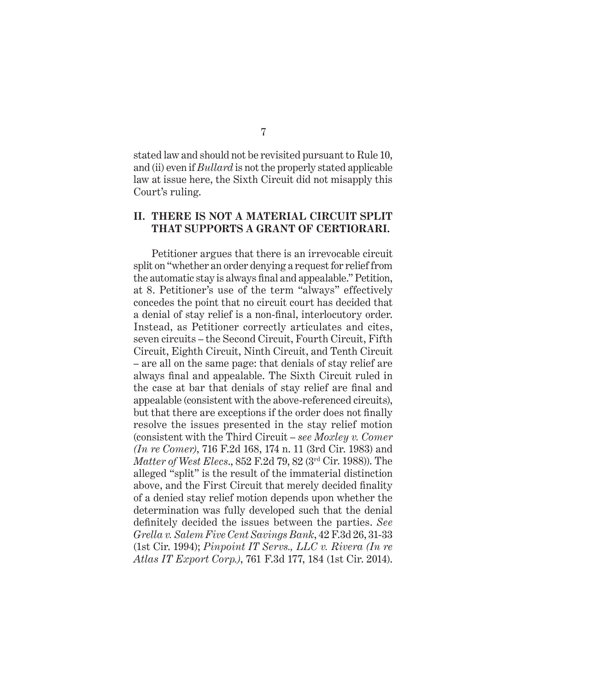stated law and should not be revisited pursuant to Rule 10, and (ii) even if *Bullard* is not the properly stated applicable law at issue here, the Sixth Circuit did not misapply this Court's ruling.

### **II. THERE IS NOT A MATERIAL CIRCUIT SPLIT THA T SUPPORTS A GRANT OF CERTIORARI.**

Petitioner argues that there is an irrevocable circuit split on "whether an order denying a request for relief from the automatic stay is always final and appealable." Petition, at 8. Petitioner's use of the term "always" effectively concedes the point that no circuit court has decided that a denial of stay relief is a non-final, interlocutory order. Instead, as Petitioner correctly articulates and cites, seven circuits – the Second Circuit, Fourth Circuit, Fifth Circuit, Eighth Circuit, Ninth Circuit, and Tenth Circuit – are all on the same page: that denials of stay relief are always final and appealable. The Sixth Circuit ruled in the case at bar that denials of stay relief are final and appealable (consistent with the above-referenced circuits), but that there are exceptions if the order does not finally resolve the issues presented in the stay relief motion (consistent with the Third Circuit – *see Moxley v. Comer (In re Comer)*, 716 F.2d 168, 174 n. 11 (3rd Cir. 1983) and *Matter of West Elecs*., 852 F.2d 79, 82 (3rd Cir. 1988)). The alleged "split" is the result of the immaterial distinction above, and the First Circuit that merely decided finality of a denied stay relief motion depends upon whether the determination was fully developed such that the denial definitely decided the issues between the parties. *See Grella v. Salem Five Cent Savings Bank*, 42 F.3d 26, 31-33 (1st Cir. 1994); *Pinpoint IT Servs., LLC v. Rivera (In re Atlas IT Export Corp.)*, 761 F.3d 177, 184 (1st Cir. 2014).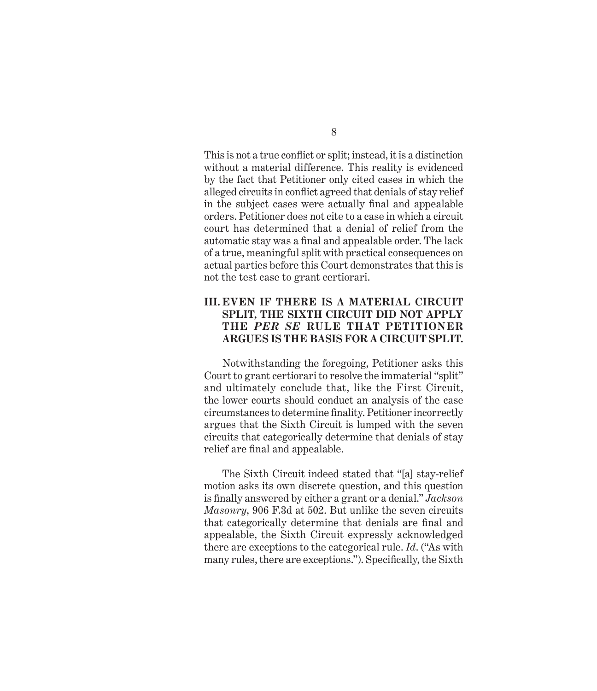This is not a true conflict or split; instead, it is a distinction without a material difference. This reality is evidenced by the fact that Petitioner only cited cases in which the alleged circuits in conflict agreed that denials of stay relief in the subject cases were actually final and appealable orders. Petitioner does not cite to a case in which a circuit court has determined that a denial of relief from the automatic stay was a final and appealable order. The lack of a true, meaningful split with practical consequences on actual parties before this Court demonstrates that this is not the test case to grant certiorari.

## **III. EVEN IF THERE IS A MATERIAL CIRCUIT SPLIT, THE SIXTH CIRCUIT DID NOT APPLY THE PER SE RULE THAT PETITIONER ARGU ES IS THE BASIS FOR A CIRCUIT SPLIT.**

Notwithstanding the foregoing, Petitioner asks this Court to grant certiorari to resolve the immaterial "split" and ultimately conclude that, like the First Circuit, the lower courts should conduct an analysis of the case circumstances to determine finality. Petitioner incorrectly argues that the Sixth Circuit is lumped with the seven circuits that categorically determine that denials of stay relief are final and appealable.

The Sixth Circuit indeed stated that "[a] stay-relief motion asks its own discrete question, and this question is finally answered by either a grant or a denial." *Jackson Masonry*, 906 F.3d at 502. But unlike the seven circuits that categorically determine that denials are final and appealable, the Sixth Circuit expressly acknowledged there are exceptions to the categorical rule. *Id*. ("As with many rules, there are exceptions."). Specifically, the Sixth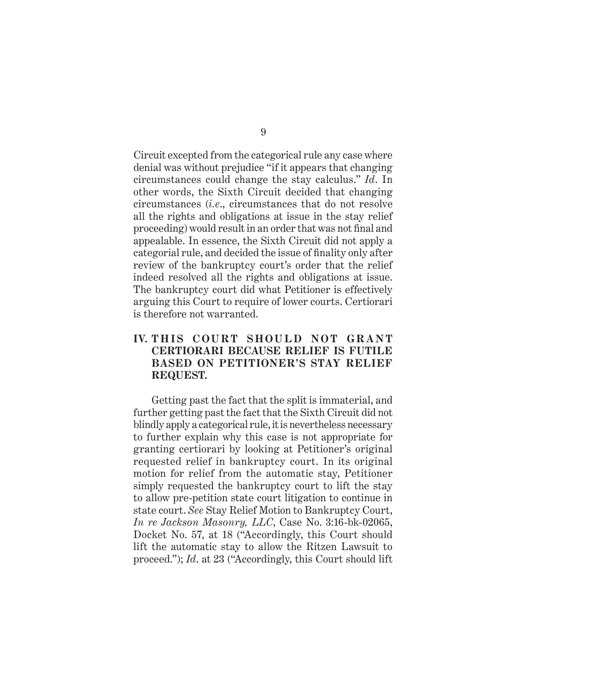Circuit excepted from the categorical rule any case where denial was without prejudice "if it appears that changing circumstances could change the stay calculus." *Id*. In other words, the Sixth Circuit decided that changing circumstances (*i.e*., circumstances that do not resolve all the rights and obligations at issue in the stay relief proceeding) would result in an order that was not final and appealable. In essence, the Sixth Circuit did not apply a categorial rule, and decided the issue of finality only after review of the bankruptcy court's order that the relief indeed resolved all the rights and obligations at issue. The bankruptcy court did what Petitioner is effectively arguing this Court to require of lower courts. Certiorari is therefore not warranted.

## **IV.** THIS COURT SHOULD NOT GRANT **CERTIORARI BECAUSE RELIEF IS FUTILE BASED ON PETITIONER'S STAY RELIEF REQUEST.**

Getting past the fact that the split is immaterial, and further getting past the fact that the Sixth Circuit did not blindly apply a categorical rule, it is nevertheless necessary to further explain why this case is not appropriate for granting certiorari by looking at Petitioner's original requested relief in bankruptcy court. In its original motion for relief from the automatic stay, Petitioner simply requested the bankruptcy court to lift the stay to allow pre-petition state court litigation to continue in state court. *See* Stay Relief Motion to Bankruptcy Court, *In re Jackson Masonry, LLC*, Case No. 3:16-bk-02065, Docket No. 57, at 18 ("Accordingly, this Court should lift the automatic stay to allow the Ritzen Lawsuit to proceed."); *Id*. at 23 ("Accordingly, this Court should lift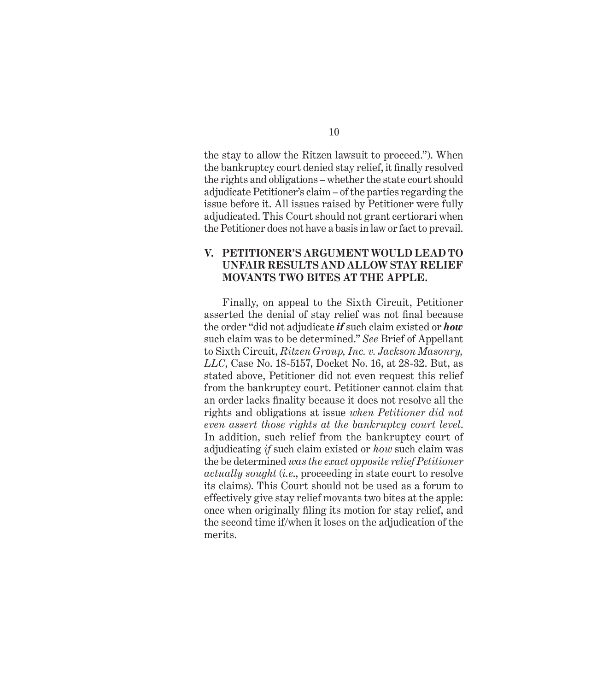the stay to allow the Ritzen lawsuit to proceed."). When the bankruptcy court denied stay relief, it finally resolved the rights and obligations – whether the state court should adjudicate Petitioner's claim – of the parties regarding the issue before it. All issues raised by Petitioner were fully adjudicated. This Court should not grant certiorari when the Petitioner does not have a basis in law or fact to prevail.

### **V. PETITIONER'S ARGUMENT WOULD LEAD TO UNFAIR RESULTS AND ALLOW STAY RELIEF MOVANTS TWO BITES AT THE APPLE.**

Finally, on appeal to the Sixth Circuit, Petitioner asserted the denial of stay relief was not final because the order "did not adjudicate *if* such claim existed or *how* such claim was to be determined." *See* Brief of Appellant to Sixth Circuit, *Ritzen Group, Inc. v. Jackson Masonry, LLC*, Case No. 18-5157, Docket No. 16, at 28-32. But, as stated above, Petitioner did not even request this relief from the bankruptcy court. Petitioner cannot claim that an order lacks finality because it does not resolve all the rights and obligations at issue *when Petitioner did not even assert those rights at the bankruptcy court level*. In addition, such relief from the bankruptcy court of adjudicating *if* such claim existed or *how* such claim was the be determined *was the exact opposite relief Petitioner actually sought* (*i.e*., proceeding in state court to resolve its claims). This Court should not be used as a forum to effectively give stay relief movants two bites at the apple: once when originally filing its motion for stay relief, and the second time if/when it loses on the adjudication of the merits.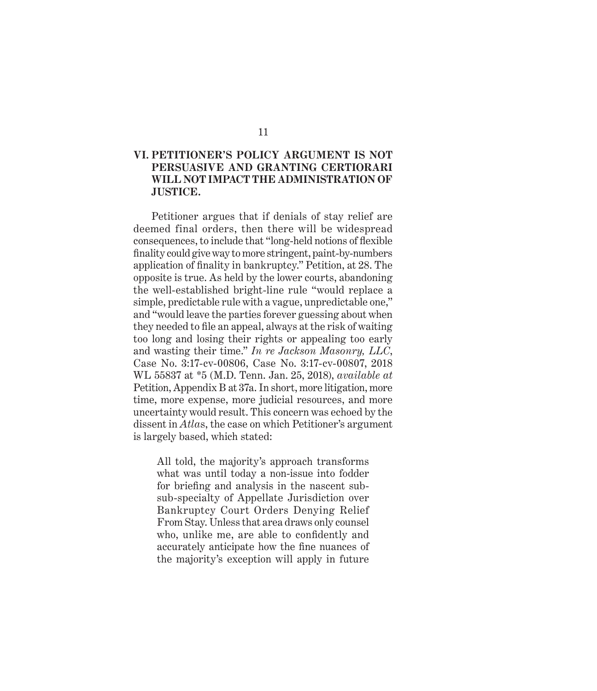# 11

## **VI. PETITIONER'S POLICY ARGUMENT IS NOT PERSUA SIVE AND GRANTING CERTIORARI WILL NOT IMPACT THE ADMINISTRATION OF JUSTICE.**

Petitioner argues that if denials of stay relief are deemed final orders, then there will be widespread consequences, to include that "long-held notions of flexible finality could give way to more stringent, paint-by-numbers application of finality in bankruptcy." Petition, at 28. The opposite is true. As held by the lower courts, abandoning the well-established bright-line rule "would replace a simple, predictable rule with a vague, unpredictable one," and "would leave the parties forever guessing about when they needed to file an appeal, always at the risk of waiting too long and losing their rights or appealing too early and wasting their time." *In re Jackson Masonry, LLC*, Case No. 3:17-cv-00806, Case No. 3:17-cv-00807, 2018 WL 55837 at \*5 (M.D. Tenn. Jan. 25, 2018), *available at* Petition, Appendix B at 37a. In short, more litigation, more time, more expense, more judicial resources, and more uncertainty would result. This concern was echoed by the dissent in *Atla*s, the case on which Petitioner's argument is largely based, which stated:

All told, the majority's approach transforms what was until today a non-issue into fodder for briefing and analysis in the nascent subsub-specialty of Appellate Jurisdiction over Bankruptcy Court Orders Denying Relief From Stay. Unless that area draws only counsel who, unlike me, are able to confidently and accurately anticipate how the fine nuances of the majority's exception will apply in future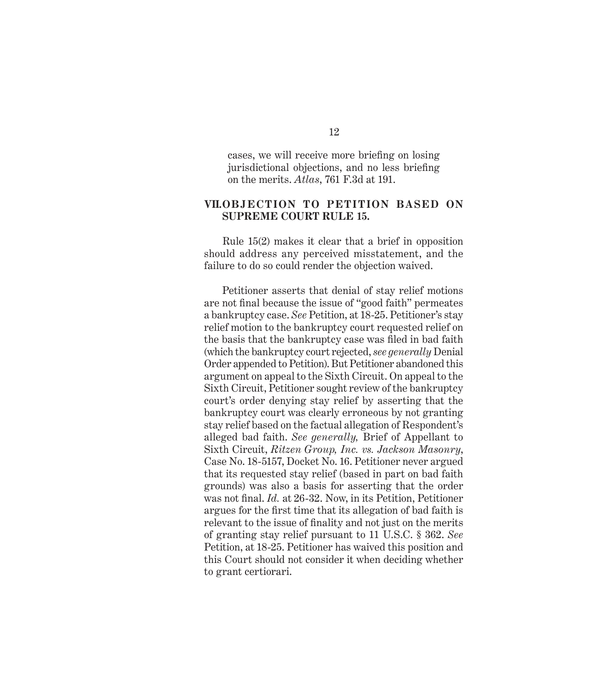cases, we will receive more briefing on losing jurisdictional objections, and no less briefing on the merits. *Atlas*, 761 F.3d at 191.

### **VII.OBJECTION TO PETITION BASED ON SUPREME COURT RULE 15.**

Rule 15(2) makes it clear that a brief in opposition should address any perceived misstatement, and the failure to do so could render the objection waived.

Petitioner asserts that denial of stay relief motions are not final because the issue of "good faith" permeates a bankruptcy case. *See* Petition, at 18-25. Petitioner's stay relief motion to the bankruptcy court requested relief on the basis that the bankruptcy case was filed in bad faith (which the bankruptcy court rejected, *see generally* Denial Order appended to Petition). But Petitioner abandoned this argument on appeal to the Sixth Circuit. On appeal to the Sixth Circuit, Petitioner sought review of the bankruptcy court's order denying stay relief by asserting that the bankruptcy court was clearly erroneous by not granting stay relief based on the factual allegation of Respondent's alleged bad faith. *See generally,* Brief of Appellant to Sixth Circuit, *Ritzen Group, Inc. vs. Jackson Masonry*, Case No. 18-5157, Docket No. 16. Petitioner never argued that its requested stay relief (based in part on bad faith grounds) was also a basis for asserting that the order was not final. *Id.* at 26-32. Now, in its Petition, Petitioner argues for the first time that its allegation of bad faith is relevant to the issue of finality and not just on the merits of granting stay relief pursuant to 11 U.S.C. § 362. *See* Petition, at 18-25. Petitioner has waived this position and this Court should not consider it when deciding whether to grant certiorari.